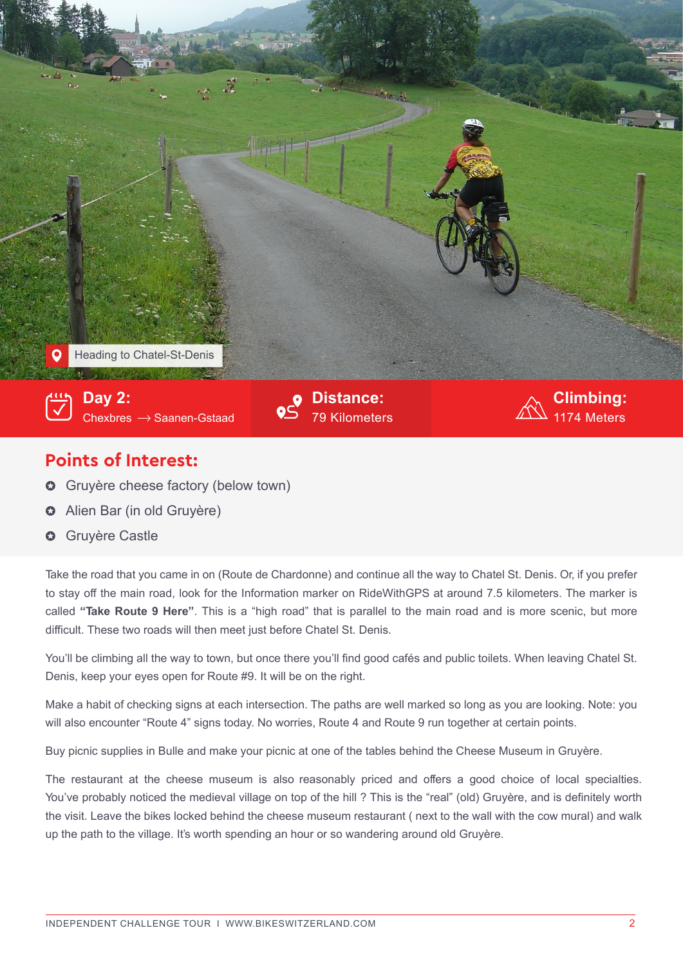

## **Points of Interest:**

- **G** Gruyère cheese factory (below town)
- **o** Alien Bar (in old Gruyère)
- **✿** Gruyère Castle

Take the road that you came in on (Route de Chardonne) and continue all the way to Chatel St. Denis. Or, if you prefer to stay off the main road, look for the Information marker on RideWithGPS at around 7.5 kilometers. The marker is called **"Take Route 9 Here"**. This is a "high road" that is parallel to the main road and is more scenic, but more difficult. These two roads will then meet just before Chatel St. Denis.

You'll be climbing all the way to town, but once there you'll find good cafés and public toilets. When leaving Chatel St. Denis, keep your eyes open for Route #9. It will be on the right.

Make a habit of checking signs at each intersection. The paths are well marked so long as you are looking. Note: you will also encounter "Route 4" signs today. No worries, Route 4 and Route 9 run together at certain points.

Buy picnic supplies in Bulle and make your picnic at one of the tables behind the Cheese Museum in Gruyère.

The restaurant at the cheese museum is also reasonably priced and offers a good choice of local specialties. You've probably noticed the medieval village on top of the hill ? This is the "real" (old) Gruyère, and is definitely worth the visit. Leave the bikes locked behind the cheese museum restaurant ( next to the wall with the cow mural) and walk up the path to the village. It's worth spending an hour or so wandering around old Gruyère.